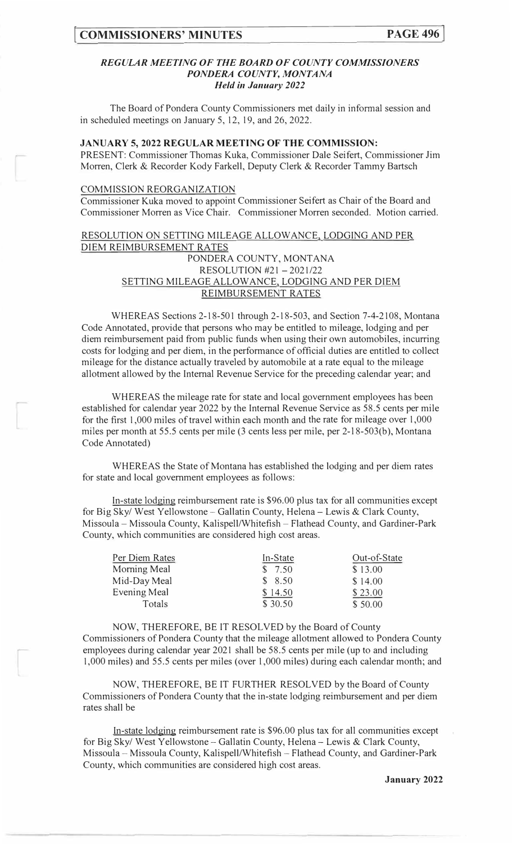### *REGULAR MEETING OF THE BOARD OF COUNTY COMMISSIONERS PONDERA COUNTY, MONTANA Held in January 2022*

The Board of Pondera County Commissioners met daily in informal session and in scheduled meetings on January 5, 12, 19, and 26, 2022.

# **JANUARY 5, 2022 REGULAR MEETING OF THE COMMISSION:**

PRESENT: Commissioner Thomas Kuka, Commissioner Dale Seifert, Commissioner Jim Morren, Clerk & Recorder Kody Farkell, Deputy Clerk & Recorder Tammy Bartsch

#### COMMISSION REORGANIZATION

Commissioner Kuka moved to appoint Commissioner Seifert as Chair of the Board and Commissioner Morren as Vice Chair. Commissioner Morren seconded. Motion carried.

## RESOLUTION ON SETTING MILEAGE ALLOWANCE, LODGING AND PER DIEM REIMBURSEMENT RATES PONDERA COUNTY, MONTANA RESOLUTION #21 -2021/22 SETTING MILEAGE ALLOWANCE, LODGING AND PER DIEM REIMBURSEMENT RATES

WHEREAS Sections 2-18-501 through 2-18-503, and Section 7-4-2108, Montana Code Annotated, provide that persons who may be entitled to mileage, lodging and per diem reimbursement paid from public funds when using their own automobiles, incurring costs for lodging and per diem, in the performance of official duties are entitled to collect mileage for the distance actually traveled by automobile at a rate equal to the mileage allotment allowed by the Internal Revenue Service for the preceding calendar year; and

WHEREAS the mileage rate for state and local government employees has been established for calendar year 2022 by the Internal Revenue Service as 58.5 cents per mile for the first 1,000 miles of travel within each month and the rate for mileage over 1,000 miles per month at 55.5 cents per mile (3 cents less per mile, per 2-18-503(b), Montana Code Annotated)

WHEREAS the State of Montana has established the lodging and per diem rates for state and local government employees as follows:

In-state lodging reimbursement rate is \$96.00 plus tax for all communities except for Big Sky/ West Yellowstone - Gallatin County, Helena - Lewis & Clark County, Missoula - Missoula County, Kalispell/Whitefish - Flathead County, and Gardiner-Park County, which communities are considered high cost areas.

| Per Diem Rates      | In-State | Out-of-State |
|---------------------|----------|--------------|
| Morning Meal        | \$7.50   | \$13.00      |
| Mid-Day Meal        | \$8.50   | \$14.00      |
| <b>Evening Meal</b> | \$14.50  | \$23.00      |
| Totals              | \$30.50  | \$50.00      |

NOW, THEREFORE, BE IT RESOLVED by the Board of County Commissioners of Pondera County that the mileage allotment allowed to Pondera County employees during calendar year 2021 shall be 58.5 cents per mile (up to and including 1,000 miles) and 55.5 cents per miles (over 1,000 miles) during each calendar month; and

NOW, THEREFORE, BE IT FURTHER RESOLVED by the Board of County Commissioners of Pondera County that the in-state lodging reimbursement and per diem rates shall be

In-state lodging reimbursement rate is \$96.00 plus tax for all communities except for Big Sky/ West Yellowstone- Gallatin County, Helena- Lewis & Clark County, Missoula - Missoula County, Kalispell/Whitefish - Flathead County, and Gardiner-Park County, which communities are considered high cost areas.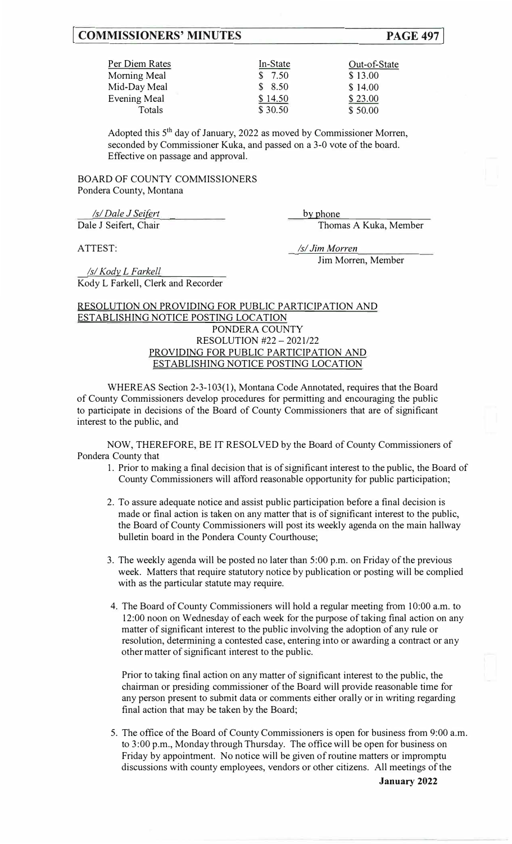# **[ COMMISSIONERS' MINUTES PAGE 497]**

| Per Diem Rates      | In-State | Out-of-State |
|---------------------|----------|--------------|
| <b>Morning Meal</b> | \$7.50   | \$13.00      |
| Mid-Day Meal        | \$8.50   | \$14.00      |
| <b>Evening Meal</b> | \$14.50  | \$23.00      |
| Totals              | \$30.50  | \$50.00      |

Adopted this 5<sup>th</sup> day of January, 2022 as moved by Commissioner Morren, seconded by Commissioner Kuka, and passed on a 3-0 vote of the board. Effective on passage and approval.

BOARD OF COUNTY COMMISSIONERS Pondera County, Montana

*Is/Dale J Seifert* **by** phone

Dale J Seifert, Chair Thomas A Kuka, Member

ATTEST: *Isl Jim Morren*  Jim Morren, Member

*Isl Kody\_ L Farkell*  Kody L Farkell, Clerk and Recorder

## RESOLUTION ON PROVIDING FOR PUBLIC PARTICIPATION AND ESTABLISHING NOTICE POSTING LOCATION PONDERA COUNTY RESOLUTION #22 - 2021/22 PROVIDING FOR PUBLIC PARTICIPATION AND ESTABLISHING NOTICE POSTING LOCATION

WHEREAS Section 2-3-103(1), Montana Code Annotated, requires that the Board of County Commissioners develop procedures for permitting and encouraging the public to participate in decisions of the Board of County Commissioners that are of significant interest to the public, and

NOW, THEREFORE, BE IT RESOLVED by the Board of County Commissioners of Pondera County that

- 1. Prior to making a final decision that is of significant interest to the public, the Board of County Commissioners will afford reasonable opportunity for public participation;
- 2. To assure adequate notice and assist public participation before a final decision is made or final action is taken on any matter that is of significant interest to the public, the Board of County Commissioners will post its weekly agenda on the main hallway bulletin board in the Pondera County Courthouse;
- 3. The weekly agenda will be posted no later than 5:00 p.m. on Friday of the previous week. Matters that require statutory notice by publication or posting will be complied with as the particular statute may require.
- 4. The Board of County Commissioners will hold a regular meeting from 10:00 a.m. to 12:00 noon on Wednesday of each week for the purpose of taking final action on any matter of significant interest to the public involving the adoption of any rule or resolution, determining a contested case, entering into or awarding a contract or any other matter of significant interest to the public.

Prior to taking final action on any matter of significant interest to the public, the chairman or presiding commissioner of the Board will provide reasonable time for any person present to submit data or comments either orally or in writing regarding final action that may be taken by the Board;

5. The office of the Board of County Commissioners is open for business from 9:00 a.m. to 3:00 p.m., Monday through Thursday. The office will be open for business on Friday by appointment. No notice will be given of routine matters or impromptu discussions with county employees, vendors or other citizens. All meetings of the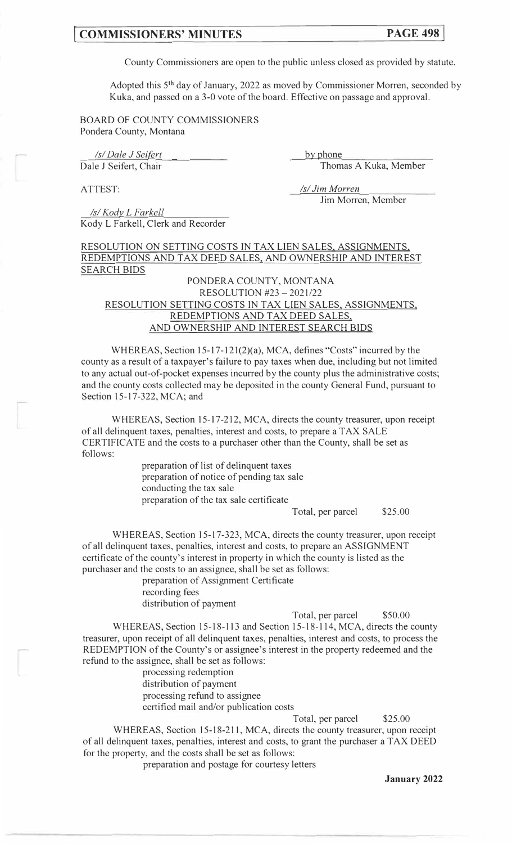# **[ COMMISSIONERS' MINUTES PAGE 498]**

County Commissioners are open to the public unless closed as provided by statute.

Adopted this 5<sup>th</sup> day of January, 2022 as moved by Commissioner Morren, seconded by Kuka, and passed on a 3-0 vote of the board. Effective on passage and approval.

BOARD OF COUNTY COMMISSIONERS Pondera County, Montana

*Isl Dale J Seifert* **by** phone Dale J Seifert, Chair Thomas A Kuka, Member

ATTEST: *Isl Jim Morren*  Jim Morren, Member

*Isl Kody\_ L F arkell*  Kody L Farkell, Clerk and Recorder

RESOLUTION ON SETTING COSTS IN TAX LIEN SALES, ASSIGNMENTS REDEMPTIONS AND TAX DEED SALES, AND OWNERSHIP AND INTEREST SEARCH BIDS

## PONDERA COUNTY, MONTANA RESOLUTION #23 - 2021/22 RESOLUTION SETTING COSTS IN TAX LIEN SALES, ASSIGNMENTS, REDEMPTIONS AND TAX DEED SALES, AND OWNERSHIP AND INTEREST SEARCH BIDS

WHEREAS, Section 15-17-121(2)(a), MCA, defines "Costs" incurred by the county as a result of a taxpayer's failure to pay taxes when due, including but not limited to any actual out-of-pocket expenses incurred by the county plus the administrative costs; and the county costs collected may be deposited in the county General Fund, pursuant to Section 15-17-322, MCA; and

WHEREAS, Section 15-17-212, MCA, directs the county treasurer, upon receipt of all delinquent taxes, penalties, interest and costs, to prepare a TAX SALE CERTIFICATE and the costs to a purchaser other than the County, shall be set as follows:

> preparation of list of delinquent taxes preparation of notice of pending tax sale conducting the tax sale preparation of the tax sale certificate

> > Total, per parcel \$25.00

WHEREAS, Section 15-17-323, MCA, directs the county treasurer, upon receipt of all delinquent taxes, penalties, interest and costs, to prepare an ASSIGNMENT certificate of the county's interest in property in which the county is listed as the purchaser and the costs to an assignee, shall be set as follows:

> preparation of Assignment Certificate recording fees distribution of payment

> > Total, per parcel \$50.00

WHEREAS, Section 15-18-113 and Section 15-18-114, MCA, directs the county treasurer, upon receipt of all delinquent taxes, penalties, interest and costs, to process the REDEMPTION of the County's or assignee's interest in the property redeemed and the refund to the assignee, shall be set as follows:

> processing redemption distribution of payment processing refund to assignee certified mail and/or publication costs

Total, per parcel \$25.00

WHEREAS, Section 15-18-211, MCA, directs the county treasurer, upon receipt of all delinquent taxes, penalties, interest and costs, to grant the purchaser a TAX DEED for the property, and the costs shall be set as follows:

preparation and postage for courtesy letters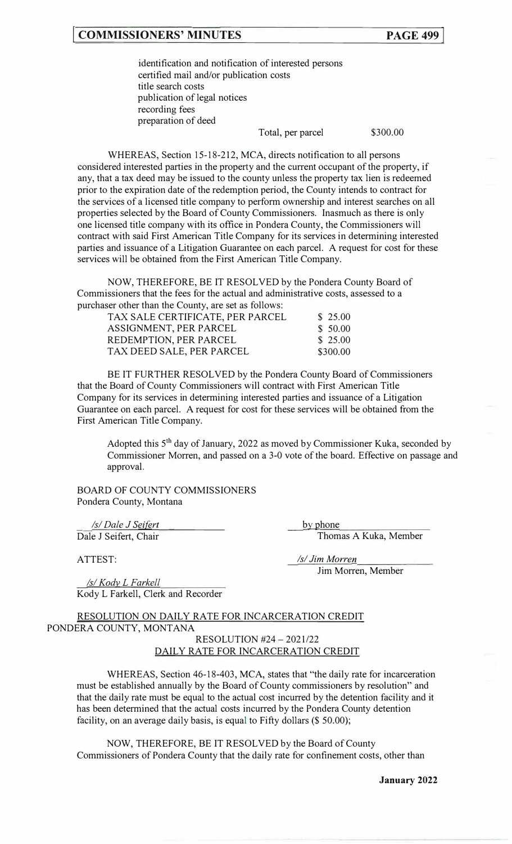# **[ COMMISSIONERS' MINUTES**

identification and notification of interested persons certified mail and/or publication costs title search costs publication of legal notices recording fees preparation of deed

Total, per parcel

\$300.00

WHEREAS, Section 15-18-212, MCA, directs notification to all persons considered interested parties in the property and the current occupant of the property, if any, that a tax deed may be issued to the county unless the property tax lien is redeemed prior to the expiration date of the redemption period, the County intends to contract for the services of a licensed title company to perform ownership and interest searches on all properties selected by the Board of County Commissioners. Inasmuch as there is only one licensed title company with its office in Pondera County, the Commissioners will contract with said First American Title Company for its services in determining interested parties and issuance of a Litigation Guarantee on each parcel. A request for cost for these services will be obtained from the First American Title Company.

NOW, THEREFORE, BE IT RESOLVED by the Pondera County Board of Commissioners that the fees for the actual and administrative costs, assessed to a purchaser other than the County, are set as follows:

| TAX SALE CERTIFICATE, PER PARCEL | \$25.00  |
|----------------------------------|----------|
| ASSIGNMENT, PER PARCEL           | \$50.00  |
| REDEMPTION, PER PARCEL           | \$25.00  |
| TAX DEED SALE, PER PARCEL        | \$300.00 |

BE IT FURTHER RESOLVED by the Pondera County Board of Commissioners that the Board of County Commissioners will contract with First American Title Company for its services in determining interested parties and issuance of a Litigation Guarantee on each parcel. A request for cost for these services will be obtained from the First American Title Company.

Adopted this 5<sup>th</sup> day of January, 2022 as moved by Commissioner Kuka, seconded by Commissioner Morren, and passed on a 3-0 vote of the board. Effective on passage and approval.

BOARD OF COUNTY COMMISSIONERS Pondera County, Montana

*Is/Dale J Seifert* by phone

Dale J Seifert, Chair Thomas A Kuka, Member

ATTEST: *Isl Jim Morren* 

Jim Morren, Member

*Isl Kody L Farkell*  Kody L Farkell, Clerk and Recorder

RESOLUTION ON DAILY RATE FOR INCARCERATION CREDIT PONDERA COUNTY, MONTANA RESOLUTION #24- 2021/22

DAILY RATE FOR INCARCERATION CREDIT

WHEREAS, Section 46-18-403, MCA, states that "the daily rate for incarceration must be established annually by the Board of County commissioners by resolution" and that the daily rate must be equal to the actual cost incurred by the detention facility and it has been determined that the actual costs incurred by the Pondera County detention facility, on an average daily basis, is equal to Fifty dollars (\$50.00);

NOW, THEREFORE, BE IT RESOLVED by the Board of County Commissioners of Pondera County that the daily rate for confinement costs, other than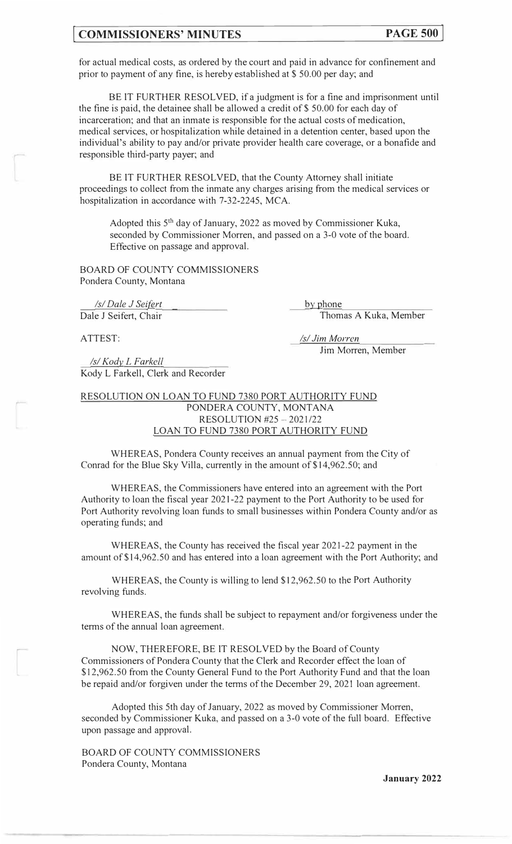# **[ COMMISSIONERS' MINUTES PAGE 500]**

for actual medical costs, as ordered by the court and paid in advance for confinement and prior to payment of any fine, is hereby established at \$50.00 per day; and

BE IT FURTHER RESOLVED, if a judgment is for a fine and imprisonment until the fine is paid, the detainee shall be allowed a credit of \$50.00 for each day of incarceration; and that an inmate is responsible for the actual costs of medication, medical services, or hospitalization while detained in a detention center, based upon the individual's ability to pay and/or private provider health care coverage, or a bonafide and responsible third-party payer; and

BE IT FURTHER RESOLVED, that the County Attorney shall initiate proceedings to collect from the inmate any charges arising from the medical services or hospitalization in accordance with 7-32-2245, MCA.

Adopted this  $5<sup>th</sup>$  day of January, 2022 as moved by Commissioner Kuka, seconded by Commissioner Morren, and passed on a 3-0 vote of the board. Effective on passage and approval.

BOARD OF COUNTY COMMISSIONERS Pondera County, Montana

*Is/Dale J Seifert* **by** phone Dale J Seifert, Chair Thomas A Kuka, Member

ATTEST: *Isl Jim Morren* 

Jim Morren, Member

*Isl Kody\_ L F arkell*  Kody L Farkell, Clerk and Recorder

RESOLUTION ON LOAN TO FUND 7380 PORT AUTHORITY FUND PONDERA COUNTY, MONTANA RESOLUTION #25 -2021/22 LOAN TO FUND 7380 PORT AUTHORITY FUND

WHEREAS, Pondera County receives an annual payment from the City of Conrad for the Blue Sky Villa, currently in the amount of \$14,962.50; and

WHEREAS, the Commissioners have entered into an agreement with the Port Authority to loan the fiscal year 2021-22 payment to the Port Authority to be used for Port Authority revolving loan funds to small businesses within Pondera County and/or as operating funds; and

WHEREAS, the County has received the fiscal year 2021-22 payment in the amount of \$14,962.50 and has entered into a loan agreement with the Port Authority; and

WHEREAS, the County is willing to lend \$12,962.50 to the Port Authority revolving funds.

WHEREAS, the funds shall be subject to repayment and/or forgiveness under the terms of the annual loan agreement.

NOW, THEREFORE, BE IT RESOLVED by the Board of County Commissioners of Pondera County that the Clerk and Recorder effect the loan of \$12,962.50 from the County General Fund to the Port Authority Fund and that the loan be repaid and/or forgiven under the terms of the December 29, 2021 loan agreement.

Adopted this 5th day of January, 2022 as moved by Commissioner Morren, seconded by Commissioner Kuka, and passed on a 3-0 vote of the full board. Effective upon passage and approval.

BOARD OF COUNTY COMMISSIONERS Pondera County, Montana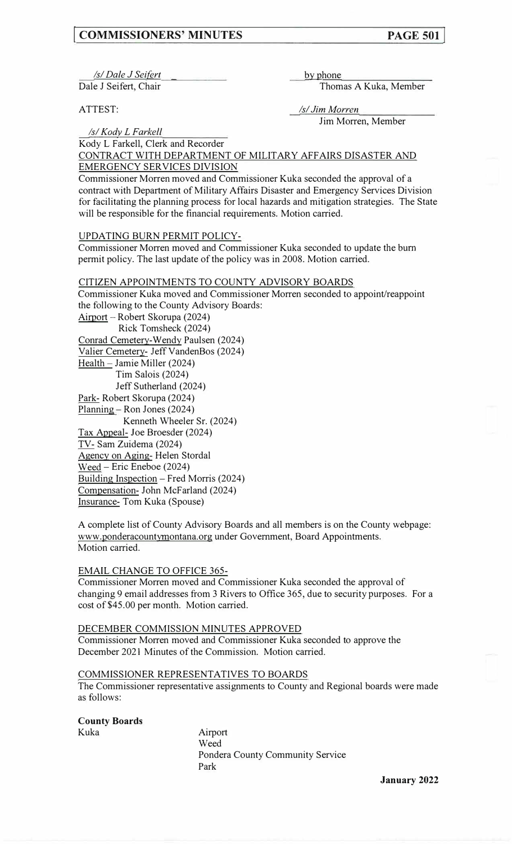# **I COMMISSIONERS' MINUTES PAGE 501**

*Isl Dale J Seifert* **b**y phone

Dale J Seifert, Chair Thomas A Kuka, Member

ATTEST: *Isl Jim Morren*  Jim Morren, Member

*Isl Kodv L\_Eqrk\_e\_il*  Kody L Farkell, Clerk and Recorder

CONTRACT WITH DEPARTMENT OF MILITARY AFFAIRS DISASTER AND EMERGENCY SERVICES DIVISION

Commissioner Morren moved and Commissioner Kuka seconded the approval of a contract with Department of Military Affairs Disaster and Emergency Services Division for facilitating the planning process for local hazards and mitigation strategies. The State will be responsible for the financial requirements. Motion carried.

UPDATING BURN PERMIT POLICY-

Commissioner Morren moved and Commissioner Kuka seconded to update the bum permit policy. The last update of the policy was in 2008. Motion carried.

CITIZEN APPOINTMENTS TO COUNTY ADVISORY BOARDS Commissioner Kuka moved and Commissioner Morren seconded to appoint/reappoint the following to the County Advisory Boards: Airport - Robert Skorupa (2024) Rick Tomsheck (2024) Conrad Cemetery-Wendy Paulsen (2024) Valier Cemetery- Jeff VandenBos (2024) Health - Jamie Miller (2024) Tim Salois (2024) Jeff Sutherland (2024) Park- Robert Skorupa (2024) Planning - Ron Jones (2024) Kenneth Wheeler Sr. (2024) Tax Appeal- Joe Broesder (2024) TV- Sam Zuidema (2024) Agency on Aging- Helen Stordal Weed - Eric Eneboe (2024) Building Inspection – Fred Morris (2024) Compensation- John McFarland (2024) Insurance- Tom Kuka (Spouse)

A complete list of County Advisory Boards and all members is on the County webpage: www.ponderacountymontana.org under Government, Board Appointments. Motion carried.

#### EMAIL CHANGE TO OFFICE 365-

Commissioner Morren moved and Commissioner Kuka seconded the approval of changing 9 email addresses from 3 Rivers to Office 365, due to security purposes. For a cost of \$45.00 per month. Motion carried.

### DECEMBER COMMISSION MINUTES APPROVED

Commissioner Morren moved and Commissioner Kuka seconded to approve the December 2021 Minutes of the Commission. Motion carried.

#### COMMISSIONER REPRESENTATIVES TO BOARDS

The Commissioner representative assignments to County and Regional boards were made as follows:

**County Boards** 

Kuka Airport Weed Pondera County Community Service Park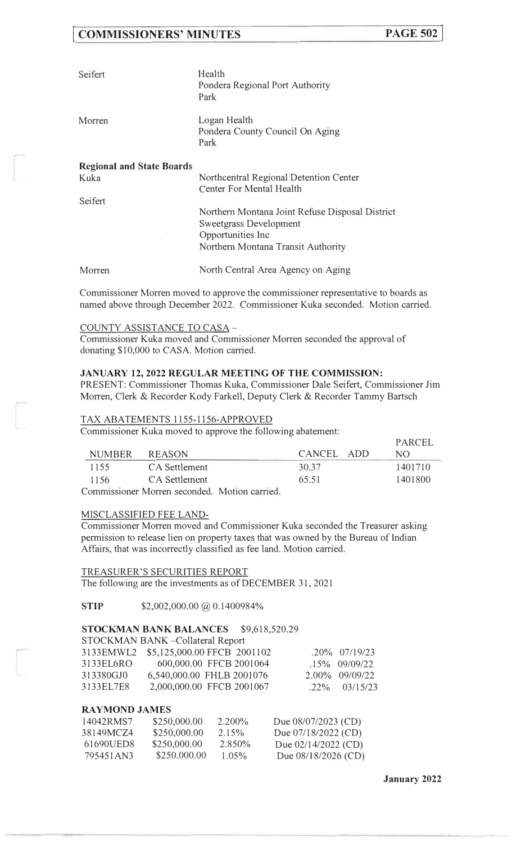# **[ COMMISSIONERS' MINUTES**

| Seifert                                  | Health<br>Pondera Regional Port Authority<br>Park                  |
|------------------------------------------|--------------------------------------------------------------------|
| Morren                                   | Logan Health<br>Pondera County Council On Aging<br>Park            |
| <b>Regional and State Boards</b><br>Kuka | Northcentral Regional Detention Center<br>Center For Mental Health |

Seifert

Northern Montana Joint Refuse Disposal District Sweetgrass Development Opportunities Inc Northern Montana Transit Authority

Morren North Central Area Agency on Aging

Commissioner Morren moved to approve the commissioner representative to boards as named above through December 2022. Commissioner Kuka seconded. Motion carried.

#### COUNTY ASSISTANCE TO CASA -

Commissioner Kuka moved and Commissioner Morren seconded the approval of donating \$10,000 to CASA. Motion carried.

#### **JANUARY 12, 2022 REGULAR MEETING OF THE COMMISSION:**

PRESENT: Commissioner Thomas Kuka, Commissioner Dale Seifert, Commissioner Jim Morren, Clerk & Recorder Kody Farkell, Deputy Clerk & Recorder Tammy Bartsch

#### TAX ABATEMENTS 1155-1156-APPROVED

Commissioner Kuka moved to approve the following abatement:

|               |                                             |            | <b>FARUEL</b> |
|---------------|---------------------------------------------|------------|---------------|
| <b>NUMBER</b> | REASON                                      | CANCEL ADD | NO.           |
| 1155          | CA Settlement                               | 30.37      | 1401710       |
| 1156          | CA Settlement                               | 65.51      | 1401800       |
|               | Commissionar Morron secondad Motion corried |            |               |

Commissioner Morren seconded. Motion carried.

#### MISCLASSIFIED FEE LAND-

Commissioner Morren moved and Commissioner Kuka seconded the Treasurer asking permission to release lien on property taxes that was owned by the Bureau of Indian Affairs, that was incorrectly classified as fee land. Motion carried.

TREASURER'S SECURITIES REPORT

The following are the investments as of DECEMBER 31, 2021

**STIP** \$2,002,000.00 @ 0.1400984%

### **STOCKMAN BANK BALANCES** \$9,618,520.29

### STOCKMAN BANK -Collateral Report

|               | 3133EMWL2 \$5,125,000.00 FFCB 2001102 | $.20\%$ $.07/19/23$ |
|---------------|---------------------------------------|---------------------|
| 3133 EL 6 R O | 600,000.00 FFCB 2001064               | $.15\%$ 09/09/22    |
| 313380GJ0     | 6,540,000.00 FHLB 2001076             | $2.00\%$ 09/09/22   |
| 3133EL7E8     | 2,000,000.00 FFCB 2001067             | $.22\%$ $03/15/23$  |

#### **RAYMOND JAMES**

| 14042RMS7 | \$250,000.00 | $2.200\%$ | Due 08/07/2023 (CD)   |
|-----------|--------------|-----------|-----------------------|
| 38149MCZ4 | \$250,000.00 | $2.15\%$  | Due $07/18/2022$ (CD) |
| 61690UED8 | \$250,000.00 | 2.850\%   | Due 02/14/2022 (CD)   |
| 795451AN3 | \$250,000,00 | $1.05\%$  | Due $08/18/2026$ (CD) |

 $DADCET$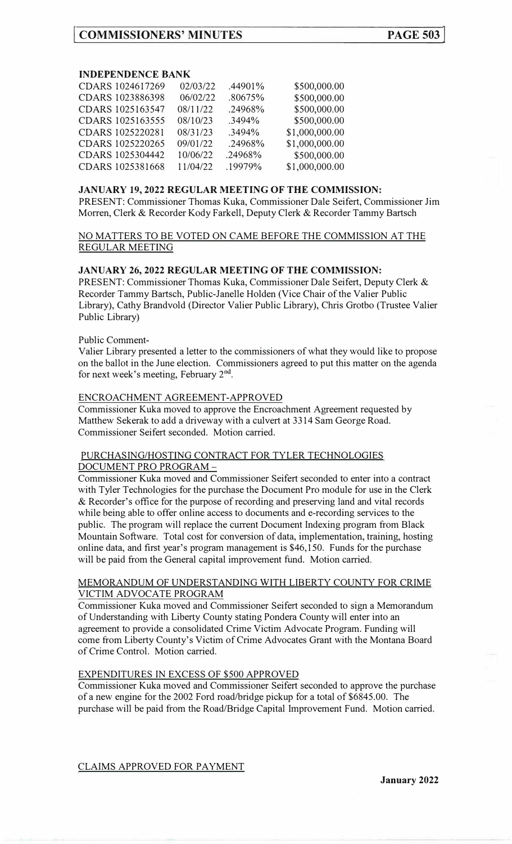## **INDEPENDENCE BANK**

| CDARS 1024617269 | 02/03/22 | .44901% | \$500,000.00   |
|------------------|----------|---------|----------------|
| CDARS 1023886398 | 06/02/22 | .80675% | \$500,000.00   |
| CDARS 1025163547 | 08/11/22 | .24968% | \$500,000.00   |
| CDARS 1025163555 | 08/10/23 | .3494%  | \$500,000.00   |
| CDARS 1025220281 | 08/31/23 | .3494%  | \$1,000,000.00 |
| CDARS 1025220265 | 09/01/22 | .24968% | \$1,000,000.00 |
| CDARS 1025304442 | 10/06/22 | .24968% | \$500,000.00   |
| CDARS 1025381668 | 11/04/22 | .19979% | \$1,000,000.00 |
|                  |          |         |                |

## **JANUARY 19, 2022 REGULAR MEETING OF THE COMMISSION:**

PRESENT: Commissioner Thomas Kuka, Commissioner Dale Seifert, Commissioner Jim Morren, Clerk & Recorder Kody Farkell, Deputy Clerk & Recorder Tammy Bartsch

## NO MATTERS TO BE VOTED ON CAME BEFORE THE COMMISSION AT THE REGULAR MEETING

### **JANUARY 26, 2022 REGULAR MEETING OF THE COMMISSION:**

PRESENT: Commissioner Thomas Kuka, Commissioner Dale Seifert, Deputy Clerk & Recorder Tammy Bartsch, Public-Janelle Holden (Vice Chair of the Valier Public Library), Cathy Brandvold (Director Valier Public Library), Chris Grotbo (Trustee Valier Public Library)

### Public Comment-

Valier Library presented a letter to the commissioners of what they would like to propose on the ballot in the June election. Commissioners agreed to put this matter on the agenda for next week's meeting, February  $2<sup>nd</sup>$ .

## ENCROACHMENT AGREEMENT-APPROVED

Commissioner Kuka moved to approve the Encroachment Agreement requested by Matthew Sekerak to add a driveway with a culvert at 3314 Sam George Road. Commissioner Seifert seconded. Motion carried.

# PURCHASING/HOSTING CONTRACT FOR TYLER TECHNOLOGIES DOCUMENT PRO PROGRAM-

Commissioner Kuka moved and Commissioner Seifert seconded to enter into a contract with Tyler Technologies for the purchase the Document Pro module for use in the Clerk & Recorder's office for the purpose of recording and preserving land and vital records while being able to offer online access to documents and e-recording services to the public. The program will replace the current Document Indexing program from Black Mountain Software. Total cost for conversion of data, implementation, training, hosting online data, and first year's program management is \$46,150. Funds for the purchase will be paid from the General capital improvement fund. Motion carried.

## MEMORANDUM OF UNDERSTANDING WITH LIBERTY COUNTY FOR CRIME VICTIM ADVOCATE PROGRAM

Commissioner Kuka moved and Commissioner Seifert seconded to sign a Memorandum of Understanding with Liberty County stating Pondera County will enter into an agreement to provide a consolidated Crime Victim Advocate Program. Funding will come from Liberty County's Victim of Crime Advocates Grant with the Montana Board of Crime Control. Motion carried.

## EXPENDITURES IN EXCESS OF \$500 APPROVED

Commissioner Kuka moved and Commissioner Seifert seconded to approve the purchase of a new engine for the 2002 Ford road/bridge pickup for a total of \$6845.00. The purchase will be paid from the Road/Bridge Capital Improvement Fund. Motion carried.

CLAIMS APPROVED FOR PAYMENT